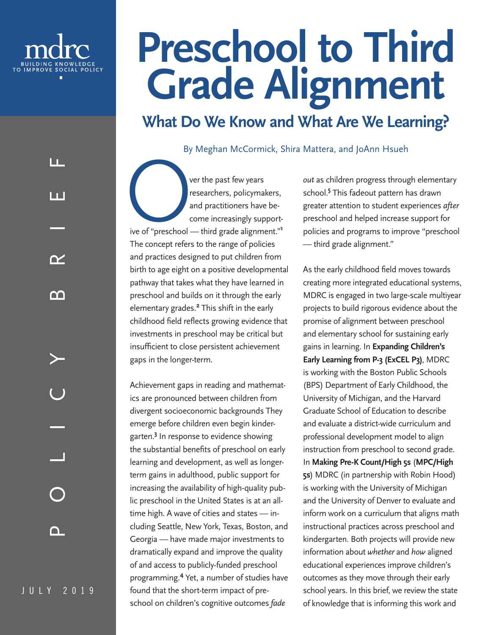<span id="page-0-0"></span>

LL.

l I I

# **Preschool to Third Grade Alignment**

## **What Do We Know and What Are We Learning?**

By Meghan McCormick, Shira Mattera, and JoAnn Hsueh

Over the past few years *out* as children progress through elementary researchers, policymakers, school.<sup>5</sup> This fadeout pattern has drawn and practitioners have become increasingly support-<br>reschool and helped increase su researchers, policymakers, and practitioners have become increasingly supportive of "preschool — third grade alignment."**[1](#page-6-0)** The concept refers to the range of policies and practices designed to put children from birth to age eight on a positive developmental pathway that takes what they have learned in preschool and builds on it through the early elementary grades.**[2](#page-6-0)** This shift in the early childhood field reflects growing evidence that investments in preschool may be critical but insufficient to close persistent achievement gaps in the longer-term.

Achievement gaps in reading and mathematics are pronounced between children from divergent socioeconomic backgrounds They emerge before children even begin kindergarten.**[3](#page-6-0)** In response to evidence showing the substantial benefits of preschool on early learning and development, as well as longerterm gains in adulthood, public support for increasing the availability of high-quality public preschool in the United States is at an alltime high. A wave of cities and states — including Seattle, New York, Texas, Boston, and Georgia — have made major investments to dramatically expand and improve the quality of and access to publicly-funded preschool programming.**[4](#page-6-0)** Yet, a number of studies have found that the short-term impact of preschool on children's cognitive outcomes *fade* 

school.**[5](#page-6-0)** This fadeout pattern has drawn greater attention to student experiences *after* preschool and helped increase support for policies and programs to improve "preschool — third grade alignment."

As the early childhood field moves towards creating more integrated educational systems, MDRC is engaged in two large-scale multiyear projects to build rigorous evidence about the promise of alignment between preschool and elementary school for sustaining early gains in learning. In **Expanding Children's Early Learning from P-3 (ExCEL P3)**, MDRC is working with the Boston Public Schools (BPS) Department of Early Childhood, the University of Michigan, and the Harvard Graduate School of Education to describe and evaluate a district-wide curriculum and professional development model to align instruction from preschool to second grade. In **Making Pre-K Count/High 5s** (**MPC/High 5s**) MDRC (in partnership with Robin Hood) is working with the University of Michigan and the University of Denver to evaluate and inform work on a curriculum that aligns math instructional practices across preschool and kindergarten. Both projects will provide new information about *whether* and *how* aligned educational experiences improve children's outcomes as they move through their early school years. In this brief, we review the state of knowledge that is informing this work and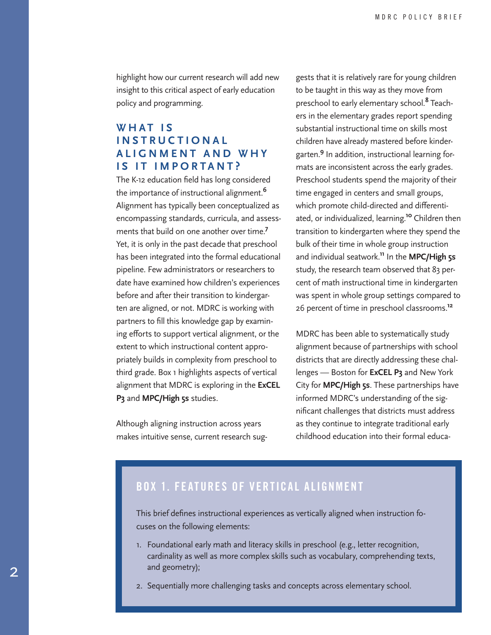<span id="page-1-0"></span>highlight how our current research will add new insight to this critical aspect of early education policy and programming.

#### WHAT IS **I N S T R U C T I O N A L A L I G N M E N T A N D W H Y IS IT IMPORTANT?**

The K-12 education field has long considered the importance of instructional alignment.**[6](#page-6-0)** Alignment has typically been conceptualized as encompassing standards, curricula, and assessments that build on one another over time.**[7](#page-6-0)** Yet, it is only in the past decade that preschool has been integrated into the formal educational pipeline. Few administrators or researchers to date have examined how children's experiences before and after their transition to kindergarten are aligned, or not. MDRC is working with partners to fill this knowledge gap by examining efforts to support vertical alignment, or the extent to which instructional content appropriately builds in complexity from preschool to third grade. Box 1 highlights aspects of vertical alignment that MDRC is exploring in the **ExCEL P3** and **MPC/High 5s** studies.

Although aligning instruction across years makes intuitive sense, current research sug-

gests that it is relatively rare for young children to be taught in this way as they move from preschool to early elementary school.**[8](#page-6-0)** Teachers in the elementary grades report spending substantial instructional time on skills most children have already mastered before kindergarten.**[9](#page-6-0)** In addition, instructional learning formats are inconsistent across the early grades. Preschool students spend the majority of their time engaged in centers and small groups, which promote child-directed and differentiated, or individualized, learning.**[10](#page-6-0)** Children then transition to kindergarten where they spend the bulk of their time in whole group instruction and individual seatwork.**[11](#page-6-0)** In the **MPC/High 5s**  study, the research team observed that 83 percent of math instructional time in kindergarten was spent in whole group settings compared to 26 percent of time in preschool classrooms.**[12](#page-6-0)**

MDRC has been able to systematically study alignment because of partnerships with school districts that are directly addressing these challenges — Boston for **ExCEL P3** and New York City for **MPC/High 5s**. These partnerships have informed MDRC's understanding of the significant challenges that districts must address as they continue to integrate traditional early childhood education into their formal educa-

### BOX 1. FEATURES OF VERTICAL ALIGNMENT

This brief defines instructional experiences as vertically aligned when instruction focuses on the following elements:

- 1. Foundational early math and literacy skills in preschool (e.g., letter recognition, cardinality as well as more complex skills such as vocabulary, comprehending texts, and geometry);
- 2. Sequentially more challenging tasks and concepts across elementary school.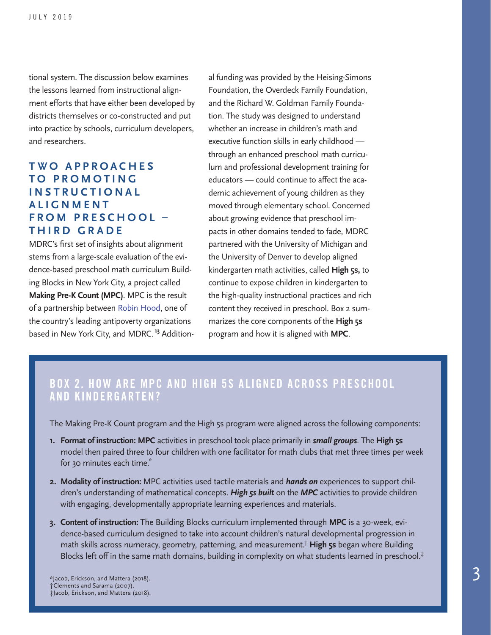<span id="page-2-0"></span>tional system. The discussion below examines the lessons learned from instructional alignment efforts that have either been developed by districts themselves or co-constructed and put into practice by schools, curriculum developers, and researchers.

#### **TWO APPROACHES T O P R O M O T I N G I N S T R U C T I O N A L ALIGNMENT F R O M P R E S C H O O L – THIRD GRADE**

MDRC's first set of insights about alignment stems from a large-scale evaluation of the evidence-based preschool math curriculum Building Blocks in New York City, a project called **Making Pre-K Count (MPC)**. MPC is the result of a partnership between [Robin Hood](https://www.robinhood.org/), one of the country's leading antipoverty organizations based in New York City, and MDRC.**[13](#page-6-0)** Addition-

al funding was provided by the Heising-Simons Foundation, the Overdeck Family Foundation, and the Richard W. Goldman Family Foundation. The study was designed to understand whether an increase in children's math and executive function skills in early childhood through an enhanced preschool math curriculum and professional development training for educators — could continue to affect the academic achievement of young children as they moved through elementary school. Concerned about growing evidence that preschool impacts in other domains tended to fade, MDRC partnered with the University of Michigan and the University of Denver to develop aligned kindergarten math activities, called **High 5s,** to continue to expose children in kindergarten to the high-quality instructional practices and rich content they received in preschool. Box 2 summarizes the core components of the **High 5s** program and how it is aligned with **MPC**.

#### BOX 2. HOW ARE MPC AND HIGH 5S ALIGNED ACROSS PRESCHOOL AND KINDERGARTEN?

The Making Pre-K Count program and the High 5s program were aligned across the following components:

- **1. Format of instruction: MPC** activities in preschool took place primarily in *small groups*. The **High 5s** model then paired three to four children with one facilitator for math clubs that met three times per week for 30 minutes each time.<sup>\*</sup>
- **2. Modality of instruction:** MPC activities used tactile materials and *hands on* experiences to support children's understanding of mathematical concepts. *High 5s built* on the *MPC* activities to provide children with engaging, developmentally appropriate learning experiences and materials.
- **3. Content of instruction:** The Building Blocks curriculum implemented through **MPC** is a 30-week, evidence-based curriculum designed to take into account children's natural developmental progression in math skills across numeracy, geometry, patterning, and measurement.† **High 5s** began where Building Blocks left off in the same math domains, building in complexity on what students learned in preschool.<sup>‡</sup>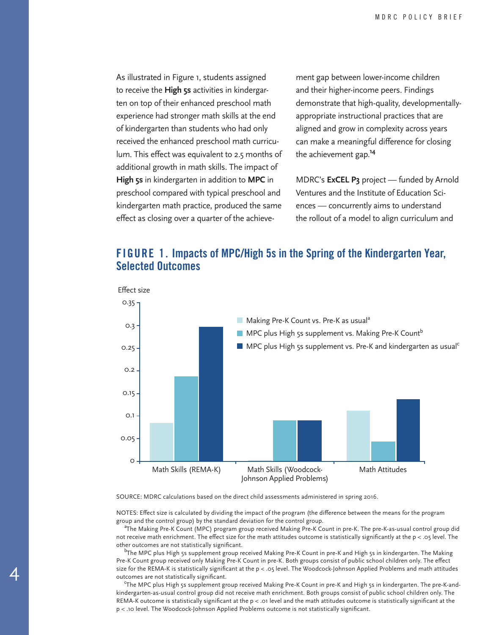<span id="page-3-0"></span>As illustrated in Figure 1, students assigned to receive the **High 5s** activities in kindergarten on top of their enhanced preschool math experience had stronger math skills at the end of kindergarten than students who had only received the enhanced preschool math curriculum. This effect was equivalent to 2.5 months of additional growth in math skills. The impact of **High 5s** in kindergarten in addition to **MPC** in preschool compared with typical preschool and kindergarten math practice, produced the same effect as closing over a quarter of the achievement gap between lower-income children and their higher-income peers. Findings demonstrate that high-quality, developmentallyappropriate instructional practices that are aligned and grow in complexity across years can make a meaningful difference for closing the achievement gap.**[14](#page-6-0)**

MDRC's **ExCEL P3** project — funded by Arnold Ventures and the Institute of Education Sciences — concurrently aims to understand the rollout of a model to align curriculum and

#### FIGURE 1. Impacts of MPC/High 5s in the Spring of the Kindergarten Year, Selected Outcomes



SOURCE: MDRC calculations based on the direct child assessments administered in spring 2016.

4

NOTES: Effect size is calculated by dividing the impact of the program (the difference between the means for the program group and the control group) by the standard deviation for the control group.

<sup>a</sup>The Making Pre-K Count (MPC) program group received Making Pre-K Count in pre-K. The pre-K-as-usual control group did not receive math enrichment. The effect size for the math attitudes outcome is statistically significantly at the p < .05 level. The other outcomes are not statistically significant.

<sup>b</sup>The MPC plus High 5s supplement group received Making Pre-K Count in pre-K and High 5s in kindergarten. The Making Pre-K Count group received only Making Pre-K Count in pre-K. Both groups consist of public school children only. The effect size for the REMA-K is statistically significant at the  $p < .05$  level. The Woodcock-Johnson Applied Problems and math attitudes outcomes are not statistically significant.

<sup>c</sup>The MPC plus High 5s supplement group received Making Pre-K Count in pre-K and High 5s in kindergarten. The pre-K-andkindergarten-as-usual control group did not receive math enrichment. Both groups consist of public school children only. The REMA-K outcome is statistically significant at the p < .01 level and the math attitudes outcome is statistically significant at the p < .10 level. The Woodcock-Johnson Applied Problems outcome is not statistically significant.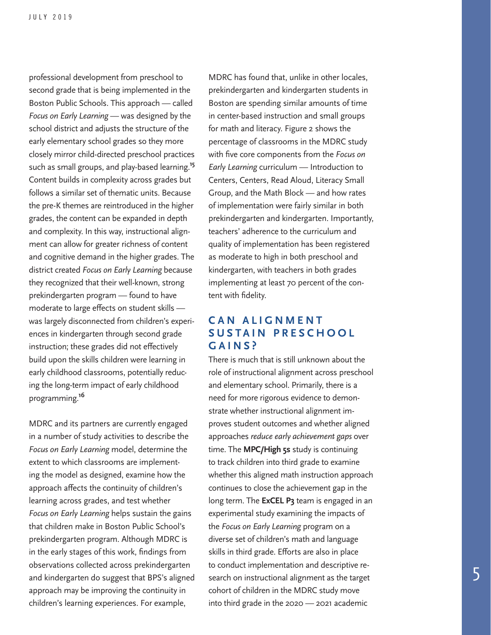<span id="page-4-0"></span>professional development from preschool to second grade that is being implemented in the Boston Public Schools. This approach — called *Focus on Early Learning* — was designed by the school district and adjusts the structure of the early elementary school grades so they more closely mirror child-directed preschool practices such as small groups, and play-based learning.**[15](#page-6-0)** Content builds in complexity across grades but follows a similar set of thematic units. Because the pre-K themes are reintroduced in the higher grades, the content can be expanded in depth and complexity. In this way, instructional alignment can allow for greater richness of content and cognitive demand in the higher grades. The district created *Focus on Early Learning* because they recognized that their well-known, strong prekindergarten program — found to have moderate to large effects on student skills was largely disconnected from children's experiences in kindergarten through second grade instruction; these grades did not effectively build upon the skills children were learning in early childhood classrooms, potentially reducing the long-term impact of early childhood programming.**[16](#page-6-0)**

MDRC and its partners are currently engaged in a number of study activities to describe the *Focus on Early Learning* model, determine the extent to which classrooms are implementing the model as designed, examine how the approach affects the continuity of children's learning across grades, and test whether *Focus on Early Learning* helps sustain the gains that children make in Boston Public School's prekindergarten program. Although MDRC is in the early stages of this work, findings from observations collected across prekindergarten and kindergarten do suggest that BPS's aligned approach may be improving the continuity in children's learning experiences. For example,

MDRC has found that, unlike in other locales, prekindergarten and kindergarten students in Boston are spending similar amounts of time in center-based instruction and small groups for math and literacy. Figure 2 shows the percentage of classrooms in the MDRC study with five core components from the *Focus on Early Learning* curriculum — Introduction to Centers, Centers, Read Aloud, Literacy Small Group, and the Math Block — and how rates of implementation were fairly similar in both prekindergarten and kindergarten. Importantly, teachers' adherence to the curriculum and quality of implementation has been registered as moderate to high in both preschool and kindergarten, with teachers in both grades implementing at least 70 percent of the content with fidelity.

#### **C A N A L I G N M E N T S U S T A I N P R E S C H O O L GAINS?**

There is much that is still unknown about the role of instructional alignment across preschool and elementary school. Primarily, there is a need for more rigorous evidence to demonstrate whether instructional alignment improves student outcomes and whether aligned approaches *reduce early achievement gaps* over time. The **MPC/High 5s** study is continuing to track children into third grade to examine whether this aligned math instruction approach continues to close the achievement gap in the long term. The **ExCEL P3** team is engaged in an experimental study examining the impacts of the *Focus on Early Learning* program on a diverse set of children's math and language skills in third grade. Efforts are also in place to conduct implementation and descriptive research on instructional alignment as the target cohort of children in the MDRC study move into third grade in the 2020 — 2021 academic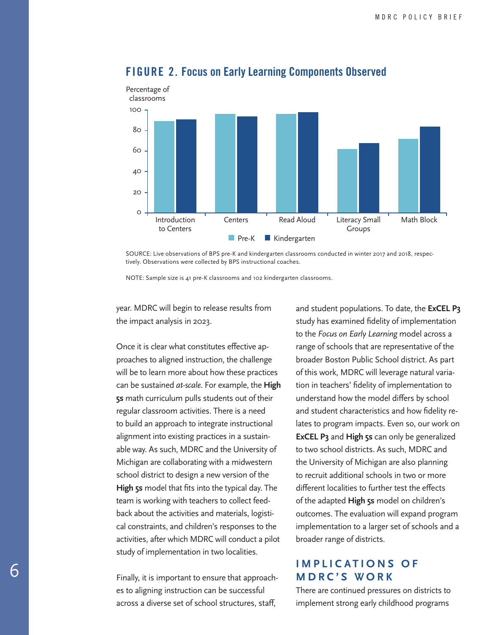

#### FIGURE 2. Focus on Early Learning Components Observed

SOURCE: Live observations of BPS pre-K and kindergarten classrooms conducted in winter 2017 and 2018, respectively. Observations were collected by BPS instructional coaches.

NOTE: Sample size is 41 pre-K classrooms and 102 kindergarten classrooms.

year. MDRC will begin to release results from the impact analysis in 2023.

Once it is clear what constitutes effective approaches to aligned instruction, the challenge will be to learn more about how these practices can be sustained *at-scale*. For example, the **High 5s** math curriculum pulls students out of their regular classroom activities. There is a need to build an approach to integrate instructional alignment into existing practices in a sustainable way. As such, MDRC and the University of Michigan are collaborating with a midwestern school district to design a new version of the **High 5s** model that fits into the typical day. The team is working with teachers to collect feedback about the activities and materials, logistical constraints, and children's responses to the activities, after which MDRC will conduct a pilot study of implementation in two localities.

Finally, it is important to ensure that approaches to aligning instruction can be successful across a diverse set of school structures, staff,

and student populations. To date, the **ExCEL P3** study has examined fidelity of implementation to the *Focus on Early Learning* model across a range of schools that are representative of the broader Boston Public School district. As part of this work, MDRC will leverage natural variation in teachers' fidelity of implementation to understand how the model differs by school and student characteristics and how fidelity relates to program impacts. Even so, our work on **ExCEL P3** and **High 5s** can only be generalized to two school districts. As such, MDRC and the University of Michigan are also planning to recruit additional schools in two or more different localities to further test the effects of the adapted **High 5s** model on children's outcomes. The evaluation will expand program implementation to a larger set of schools and a broader range of districts.

#### **IMPLICATIONS OF MDRC'S WORK**

There are continued pressures on districts to implement strong early childhood programs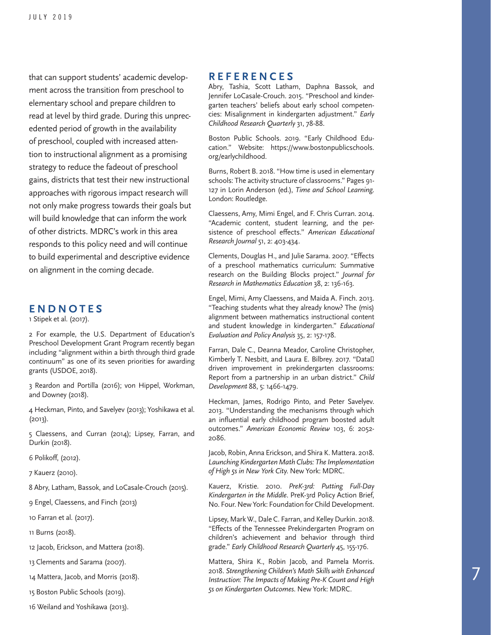<span id="page-6-0"></span>that can support students' academic develop ment across the transition from preschool to elementary school and prepare children to read at level by third grade. During this unprecedented period of growth in the availability of preschool, coupled with increased atten tion to instructional alignment as a promising strategy to reduce the fadeout of preschool gains, districts that test their new instructional approaches with rigorous impact research will not only make progress towards their goals but will build knowledge that can inform the work of other districts. MDRC's work in this area responds to this policy need and will continue to build experimental and descriptive evidence on alignment in the coming decade.

#### **ENDNOTES**

[1](#page-0-0) Stipek et al. (2017).

[2](#page-0-0) For example, the U.S. Department of Education's Preschool Development Grant Program recently began including "alignment within a birth through third grade continuum" as one of its seven priorities for awarding grants (USDOE, 2018).

[3](#page-0-0) Reardon and Portilla (2016); von Hippel, Workman, and Downey (2018).

[4](#page-0-0) Heckman, Pinto, and Savelyev (2013); Yoshikawa et al. (2013).

[5](#page-0-0) Claessens, and Curran (2014); Lipsey, Farran, and Durkin (2018).

[6](#page-1-0) Polikoff, (2012).

[7](#page-1-0) Kauerz (2010).

[8](#page-1-0) Abry, Latham, Bassok, and LoCasale-Crouch (2015).

[9](#page-1-0) Engel, Claessens, and Finch (2013)

[10](#page-1-0) Farran et al. (2017).

[11](#page-1-0) Burns (2018).

[12](#page-1-0) Jacob, Erickson, and Mattera (2018).

[13](#page-2-0) Clements and Sarama (2007).

[14](#page-3-0) Mattera, Jacob, and Morris (2018).

[15](#page-4-0) Boston Public Schools (2019).

[16](#page-4-0) Weiland and Yoshikawa (2013).

#### **REFERENCES**

Abry, Tashia, Scott Latham, Daphna Bassok, and Jennifer LoCasale-Crouch. 2015. "Preschool and kindergarten teachers' beliefs about early school competencies: Misalignment in kindergarten adjustment." *Early Childhood Research Quarterly* 31, 78-88.

Boston Public Schools. 2019. "Early Childhood Edu cation." Website: https://www.bostonpublicschools. org/earlychildhood.

Burns, Robert B. 2018. "How time is used in elementary schools: The activity structure of classrooms." Pages 91- 127 in Lorin Anderson (ed.), *Time and School Learning*. London: Routledge.

Claessens, Amy, Mimi Engel, and F. Chris Curran. 2014. "Academic content, student learning, and the persistence of preschool effects." *American Educational Research Journal* 51, 2: 403-434.

Clements, Douglas H., and Julie Sarama. 2007. "Effects of a preschool mathematics curriculum: Summative research on the Building Blocks project." *Journal for Research in Mathematics Education* 38, 2: 136-163.

Engel, Mimi, Amy Claessens, and Maida A. Finch. 2013. "Teaching students what they already know? The (mis) alignment between mathematics instructional content and student knowledge in kindergarten." *Educational Evaluation and Policy Analysis* 35, 2: 157-178.

Farran, Dale C., Deanna Meador, Caroline Christopher, Kimberly T. Nesbitt, and Laura E. Bilbrey. 2017. "Data driven improvement in prekindergarten classrooms: Report from a partnership in an urban district." *Child Development* 88, 5: 1466-1479.

Heckman, James, Rodrigo Pinto, and Peter Savelyev. 2013. "Understanding the mechanisms through which an influential early childhood program boosted adult outcomes." *American Economic Review* 103, 6: 2052- 2086.

Jacob, Robin, Anna Erickson, and Shira K. Mattera. 2018. *Launching Kindergarten Math Clubs: The Implementation of High 5s in New York City*. New York: MDRC.

Kauerz, Kristie. 2010. *PreK-3rd: Putting Full-Day Kindergarten in the Middle*. PreK-3rd Policy Action Brief, No. Four. New York: Foundation for Child Development.

Lipsey, Mark W., Dale C. Farran, and Kelley Durkin. 2018. "Effects of the Tennessee Prekindergarten Program on children's achievement and behavior through third grade." *Early Childhood Research Quarterly* 45, 155-176.

Mattera, Shira K., Robin Jacob, and Pamela Morris. 2018. *Strengthening Children's Math Skills with Enhanced Instruction: The Impacts of Making Pre-K Count and High 5s on Kindergarten Outcomes*. New York: MDRC.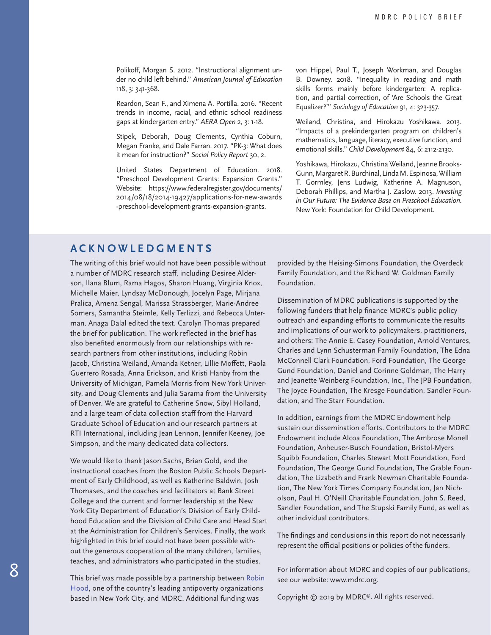Polikoff, Morgan S. 2012. "Instructional alignment under no child left behind." *American Journal of Education* 118, 3: 341-368.

Reardon, Sean F., and Ximena A. Portilla. 2016. "Recent trends in income, racial, and ethnic school readiness gaps at kindergarten entry." *AERA Open* 2, 3: 1-18.

Stipek, Deborah, Doug Clements, Cynthia Coburn, Megan Franke, and Dale Farran. 2017. "PK-3: What does it mean for instruction?" *Social Policy Report* 30, 2.

United States Department of Education. 2018. "Preschool Development Grants: Expansion Grants." Website: [https://www.federalregister.gov/documents/](https://www.federalregister.gov/documents/2014/08/18/2014-19427/applications-for-new-awards-preschool-development-grants-expansion-grants) [2014/08/18/2014-19427/applications-for-new-awards](https://www.federalregister.gov/documents/2014/08/18/2014-19427/applications-for-new-awards-preschool-development-grants-expansion-grants) [-preschool-development-grants-expansion-grants.](https://www.federalregister.gov/documents/2014/08/18/2014-19427/applications-for-new-awards-preschool-development-grants-expansion-grants)

von Hippel, Paul T., Joseph Workman, and Douglas B. Downey. 2018. "Inequality in reading and math skills forms mainly before kindergarten: A replication, and partial correction, of 'Are Schools the Great Equalizer?'" *Sociology of Education* 91, 4: 323-357.

Weiland, Christina, and Hirokazu Yoshikawa. 2013. "Impacts of a prekindergarten program on children's mathematics, language, literacy, executive function, and emotional skills." *Child Development* 84, 6: 2112-2130.

Yoshikawa, Hirokazu, Christina Weiland, Jeanne Brooks-Gunn, Margaret R. Burchinal, Linda M. Espinosa, William T. Gormley, Jens Ludwig, Katherine A. Magnuson, Deborah Phillips, and Martha J. Zaslow. 2013. *Investing in Our Future: The Evidence Base on Preschool Education*. New York: Foundation for Child Development.

#### **ACKNOWLEDGMENTS**

The writing of this brief would not have been possible without a number of MDRC research staff, including Desiree Alderson, Ilana Blum, Rama Hagos, Sharon Huang, Virginia Knox, Michelle Maier, Lyndsay McDonough, Jocelyn Page, Mirjana Pralica, Amena Sengal, Marissa Strassberger, Marie-Andree Somers, Samantha Steimle, Kelly Terlizzi, and Rebecca Unterman. Anaga Dalal edited the text. Carolyn Thomas prepared the brief for publication. The work reflected in the brief has also benefited enormously from our relationships with research partners from other institutions, including Robin Jacob, Christina Weiland, Amanda Ketner, Lillie Moffett, Paola Guerrero Rosada, Anna Erickson, and Kristi Hanby from the University of Michigan, Pamela Morris from New York University, and Doug Clements and Julia Sarama from the University of Denver. We are grateful to Catherine Snow, Sibyl Holland, and a large team of data collection staff from the Harvard Graduate School of Education and our research partners at RTI International, including Jean Lennon, Jennifer Keeney, Joe Simpson, and the many dedicated data collectors.

We would like to thank Jason Sachs, Brian Gold, and the instructional coaches from the Boston Public Schools Department of Early Childhood, as well as Katherine Baldwin, Josh Thomases, and the coaches and facilitators at Bank Street College and the current and former leadership at the New York City Department of Education's Division of Early Childhood Education and the Division of Child Care and Head Start at the Administration for Children's Services. Finally, the work highlighted in this brief could not have been possible without the generous cooperation of the many children, families, teaches, and administrators who participated in the studies.

This brief was made possible by a partnership between [Robin](https://www.robinhood.org/)  [Hood,](https://www.robinhood.org/) one of the country's leading antipoverty organizations based in New York City, and MDRC. Additional funding was

provided by the Heising-Simons Foundation, the Overdeck Family Foundation, and the Richard W. Goldman Family Foundation.

Dissemination of MDRC publications is supported by the following funders that help finance MDRC's public policy outreach and expanding efforts to communicate the results and implications of our work to policymakers, practitioners, and others: The Annie E. Casey Foundation, Arnold Ventures, Charles and Lynn Schusterman Family Foundation, The Edna McConnell Clark Foundation, Ford Foundation, The George Gund Foundation, Daniel and Corinne Goldman, The Harry and Jeanette Weinberg Foundation, Inc., The JPB Foundation, The Joyce Foundation, The Kresge Foundation, Sandler Foundation, and The Starr Foundation.

In addition, earnings from the MDRC Endowment help sustain our dissemination efforts. Contributors to the MDRC Endowment include Alcoa Foundation, The Ambrose Monell Foundation, Anheuser-Busch Foundation, Bristol-Myers Squibb Foundation, Charles Stewart Mott Foundation, Ford Foundation, The George Gund Foundation, The Grable Foundation, The Lizabeth and Frank Newman Charitable Foundation, The New York Times Company Foundation, Jan Nicholson, Paul H. O'Neill Charitable Foundation, John S. Reed, Sandler Foundation, and The Stupski Family Fund, as well as other individual contributors.

The findings and conclusions in this report do not necessarily represent the official positions or policies of the funders.

For information about MDRC and copies of our publications, see our website: www.mdrc.org.

Copyright © 2019 by MDRC®. All rights reserved.